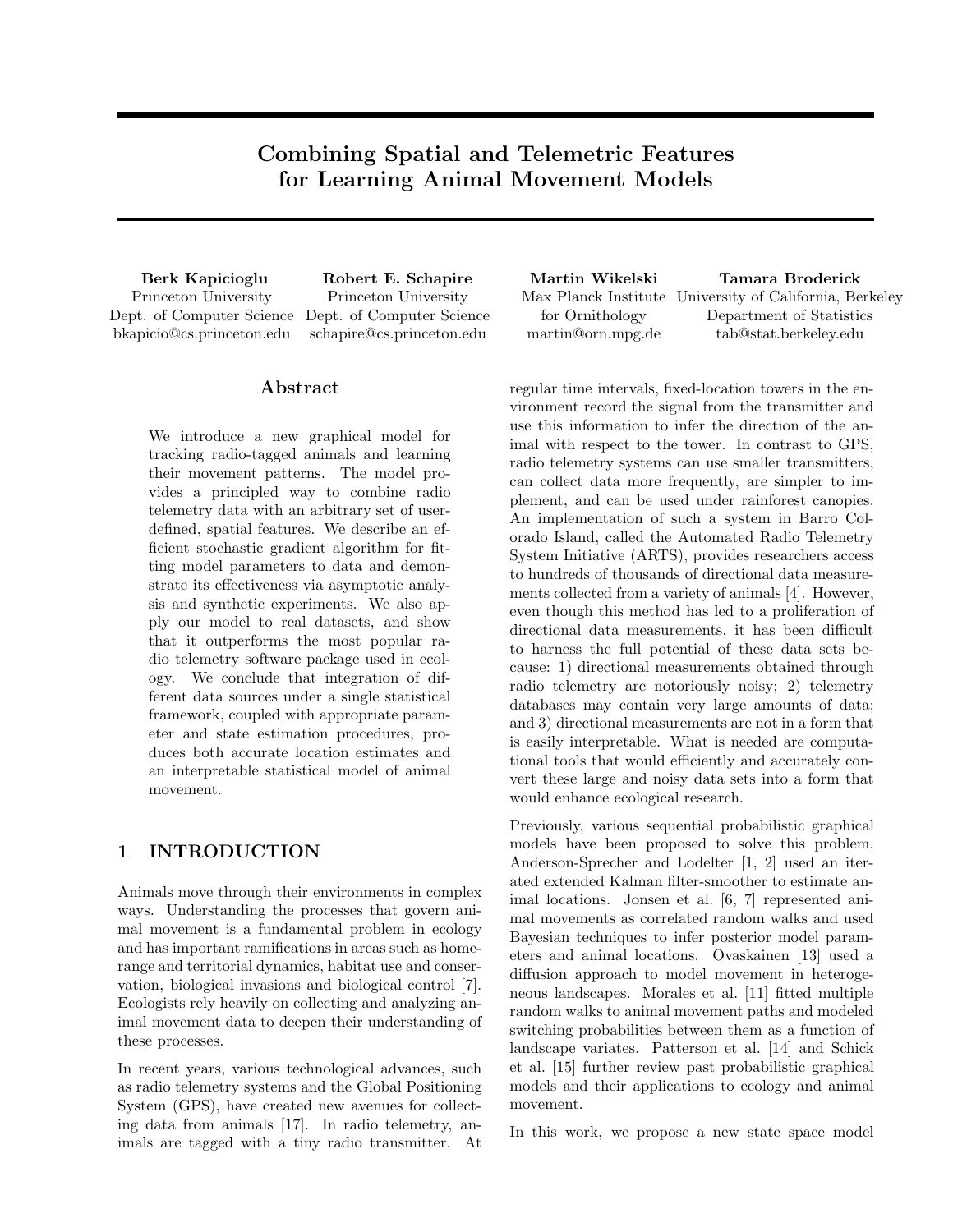# Combining Spatial and Telemetric Features for Learning Animal Movement Models

Berk Kapicioglu Princeton University Dept. of Computer Science Dept. of Computer Science bkapicio@cs.princeton.edu

Robert E. Schapire Princeton University schapire@cs.princeton.edu

## Abstract

We introduce a new graphical model for tracking radio-tagged animals and learning their movement patterns. The model provides a principled way to combine radio telemetry data with an arbitrary set of userdefined, spatial features. We describe an efficient stochastic gradient algorithm for fitting model parameters to data and demonstrate its effectiveness via asymptotic analysis and synthetic experiments. We also apply our model to real datasets, and show that it outperforms the most popular radio telemetry software package used in ecology. We conclude that integration of different data sources under a single statistical framework, coupled with appropriate parameter and state estimation procedures, produces both accurate location estimates and an interpretable statistical model of animal movement.

# 1 INTRODUCTION

Animals move through their environments in complex ways. Understanding the processes that govern animal movement is a fundamental problem in ecology and has important ramifications in areas such as homerange and territorial dynamics, habitat use and conservation, biological invasions and biological control [7]. Ecologists rely heavily on collecting and analyzing animal movement data to deepen their understanding of these processes.

In recent years, various technological advances, such as radio telemetry systems and the Global Positioning System (GPS), have created new avenues for collecting data from animals [17]. In radio telemetry, animals are tagged with a tiny radio transmitter. At

Martin Wikelski for Ornithology martin@orn.mpg.de

Max Planck Institute University of California, Berkeley Tamara Broderick Department of Statistics tab@stat.berkeley.edu

regular time intervals, fixed-location towers in the environment record the signal from the transmitter and use this information to infer the direction of the animal with respect to the tower. In contrast to GPS, radio telemetry systems can use smaller transmitters, can collect data more frequently, are simpler to implement, and can be used under rainforest canopies. An implementation of such a system in Barro Colorado Island, called the Automated Radio Telemetry System Initiative (ARTS), provides researchers access to hundreds of thousands of directional data measurements collected from a variety of animals [4]. However, even though this method has led to a proliferation of directional data measurements, it has been difficult to harness the full potential of these data sets because: 1) directional measurements obtained through radio telemetry are notoriously noisy; 2) telemetry databases may contain very large amounts of data; and 3) directional measurements are not in a form that is easily interpretable. What is needed are computational tools that would efficiently and accurately convert these large and noisy data sets into a form that would enhance ecological research.

Previously, various sequential probabilistic graphical models have been proposed to solve this problem. Anderson-Sprecher and Lodelter [1, 2] used an iterated extended Kalman filter-smoother to estimate animal locations. Jonsen et al. [6, 7] represented animal movements as correlated random walks and used Bayesian techniques to infer posterior model parameters and animal locations. Ovaskainen [13] used a diffusion approach to model movement in heterogeneous landscapes. Morales et al. [11] fitted multiple random walks to animal movement paths and modeled switching probabilities between them as a function of landscape variates. Patterson et al. [14] and Schick et al. [15] further review past probabilistic graphical models and their applications to ecology and animal movement.

In this work, we propose a new state space model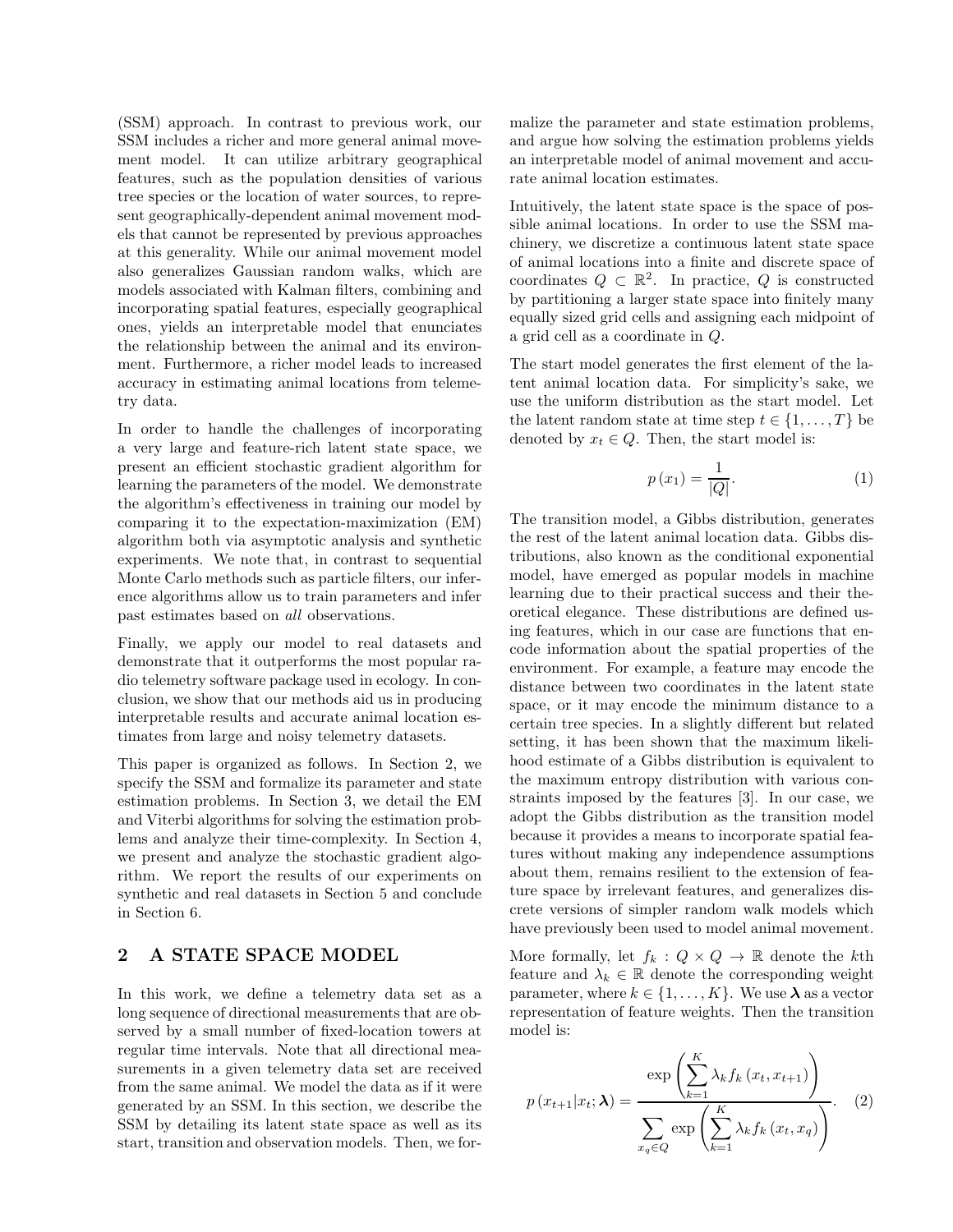(SSM) approach. In contrast to previous work, our SSM includes a richer and more general animal movement model. It can utilize arbitrary geographical features, such as the population densities of various tree species or the location of water sources, to represent geographically-dependent animal movement models that cannot be represented by previous approaches at this generality. While our animal movement model also generalizes Gaussian random walks, which are models associated with Kalman filters, combining and incorporating spatial features, especially geographical ones, yields an interpretable model that enunciates the relationship between the animal and its environment. Furthermore, a richer model leads to increased accuracy in estimating animal locations from telemetry data.

In order to handle the challenges of incorporating a very large and feature-rich latent state space, we present an efficient stochastic gradient algorithm for learning the parameters of the model. We demonstrate the algorithm's effectiveness in training our model by comparing it to the expectation-maximization (EM) algorithm both via asymptotic analysis and synthetic experiments. We note that, in contrast to sequential Monte Carlo methods such as particle filters, our inference algorithms allow us to train parameters and infer past estimates based on all observations.

Finally, we apply our model to real datasets and demonstrate that it outperforms the most popular radio telemetry software package used in ecology. In conclusion, we show that our methods aid us in producing interpretable results and accurate animal location estimates from large and noisy telemetry datasets.

This paper is organized as follows. In Section 2, we specify the SSM and formalize its parameter and state estimation problems. In Section 3, we detail the EM and Viterbi algorithms for solving the estimation problems and analyze their time-complexity. In Section 4, we present and analyze the stochastic gradient algorithm. We report the results of our experiments on synthetic and real datasets in Section 5 and conclude in Section 6.

# 2 A STATE SPACE MODEL

In this work, we define a telemetry data set as a long sequence of directional measurements that are observed by a small number of fixed-location towers at regular time intervals. Note that all directional measurements in a given telemetry data set are received from the same animal. We model the data as if it were generated by an SSM. In this section, we describe the SSM by detailing its latent state space as well as its start, transition and observation models. Then, we for-

malize the parameter and state estimation problems, and argue how solving the estimation problems yields an interpretable model of animal movement and accurate animal location estimates.

Intuitively, the latent state space is the space of possible animal locations. In order to use the SSM machinery, we discretize a continuous latent state space of animal locations into a finite and discrete space of coordinates  $Q \subset \mathbb{R}^2$ . In practice, Q is constructed by partitioning a larger state space into finitely many equally sized grid cells and assigning each midpoint of a grid cell as a coordinate in Q.

The start model generates the first element of the latent animal location data. For simplicity's sake, we use the uniform distribution as the start model. Let the latent random state at time step  $t \in \{1, \ldots, T\}$  be denoted by  $x_t \in Q$ . Then, the start model is:

$$
p(x_1) = \frac{1}{|Q|}.\tag{1}
$$

The transition model, a Gibbs distribution, generates the rest of the latent animal location data. Gibbs distributions, also known as the conditional exponential model, have emerged as popular models in machine learning due to their practical success and their theoretical elegance. These distributions are defined using features, which in our case are functions that encode information about the spatial properties of the environment. For example, a feature may encode the distance between two coordinates in the latent state space, or it may encode the minimum distance to a certain tree species. In a slightly different but related setting, it has been shown that the maximum likelihood estimate of a Gibbs distribution is equivalent to the maximum entropy distribution with various constraints imposed by the features [3]. In our case, we adopt the Gibbs distribution as the transition model because it provides a means to incorporate spatial features without making any independence assumptions about them, remains resilient to the extension of feature space by irrelevant features, and generalizes discrete versions of simpler random walk models which have previously been used to model animal movement.

More formally, let  $f_k : Q \times Q \to \mathbb{R}$  denote the kth feature and  $\lambda_k \in \mathbb{R}$  denote the corresponding weight parameter, where  $k \in \{1, \ldots, K\}$ . We use  $\lambda$  as a vector representation of feature weights. Then the transition model is:

$$
p(x_{t+1}|x_t; \lambda) = \frac{\exp\left(\sum_{k=1}^K \lambda_k f_k(x_t, x_{t+1})\right)}{\sum_{x_q \in Q} \exp\left(\sum_{k=1}^K \lambda_k f_k(x_t, x_q)\right)}.
$$
 (2)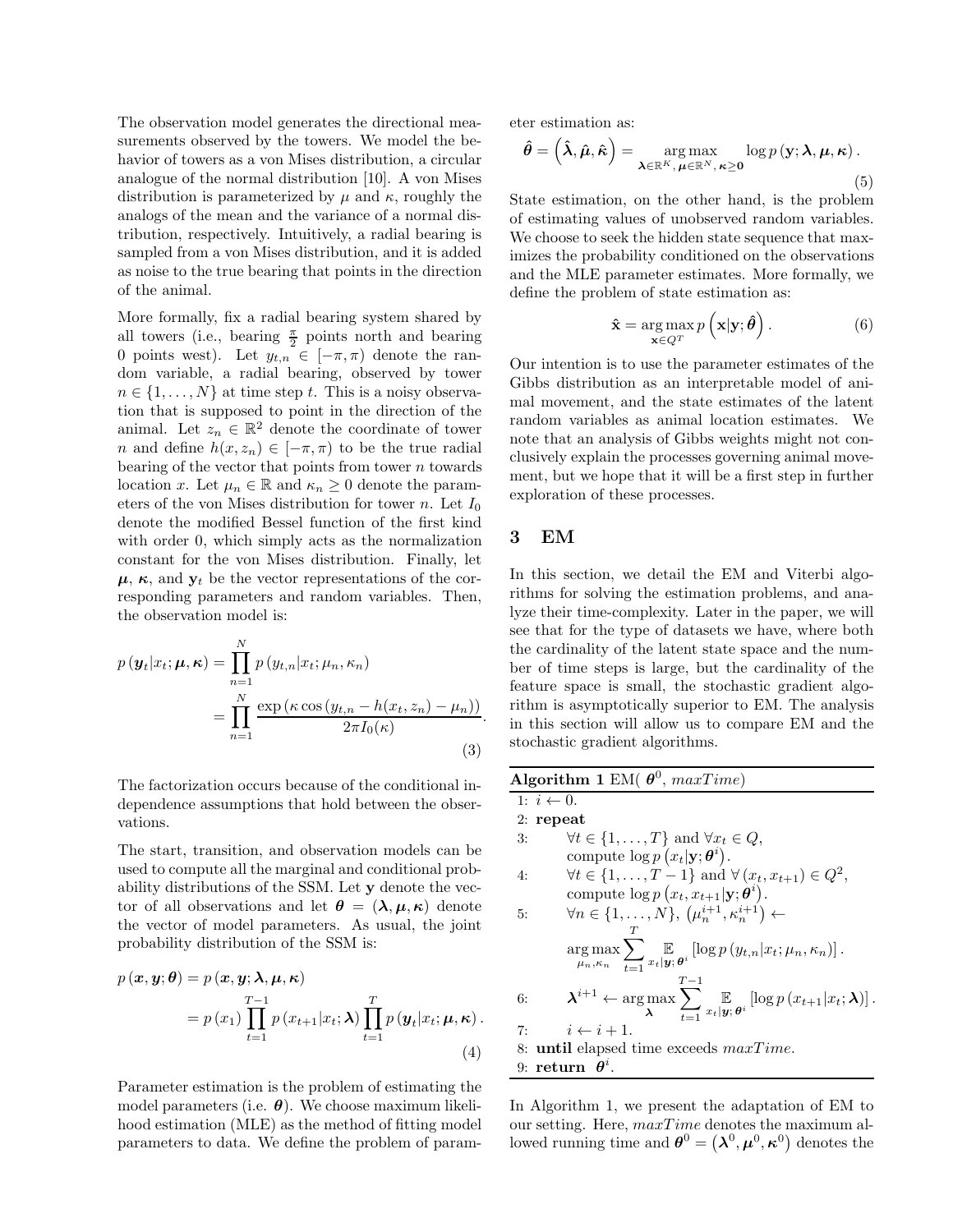The observation model generates the directional measurements observed by the towers. We model the behavior of towers as a von Mises distribution, a circular analogue of the normal distribution [10]. A von Mises distribution is parameterized by  $\mu$  and  $\kappa$ , roughly the analogs of the mean and the variance of a normal distribution, respectively. Intuitively, a radial bearing is sampled from a von Mises distribution, and it is added as noise to the true bearing that points in the direction of the animal.

More formally, fix a radial bearing system shared by all towers (i.e., bearing  $\frac{\pi}{2}$  points north and bearing 0 points west). Let  $y_{t,n} \in [-\pi, \pi)$  denote the random variable, a radial bearing, observed by tower  $n \in \{1, \ldots, N\}$  at time step t. This is a noisy observation that is supposed to point in the direction of the animal. Let  $z_n \in \mathbb{R}^2$  denote the coordinate of tower n and define  $h(x, z_n) \in [-\pi, \pi)$  to be the true radial bearing of the vector that points from tower  $n$  towards location x. Let  $\mu_n \in \mathbb{R}$  and  $\kappa_n \geq 0$  denote the parameters of the von Mises distribution for tower n. Let  $I_0$ denote the modified Bessel function of the first kind with order 0, which simply acts as the normalization constant for the von Mises distribution. Finally, let  $\mu$ ,  $\kappa$ , and  $y_t$  be the vector representations of the corresponding parameters and random variables. Then, the observation model is:

$$
p(\mathbf{y}_t|x_t; \boldsymbol{\mu}, \boldsymbol{\kappa}) = \prod_{n=1}^{N} p(y_{t,n}|x_t; \mu_n, \kappa_n)
$$
  
= 
$$
\prod_{n=1}^{N} \frac{\exp(\kappa \cos(y_{t,n} - h(x_t, z_n) - \mu_n))}{2\pi I_0(\kappa)}.
$$
 (3)

The factorization occurs because of the conditional independence assumptions that hold between the observations.

The start, transition, and observation models can be used to compute all the marginal and conditional probability distributions of the SSM. Let y denote the vector of all observations and let  $\theta = (\lambda, \mu, \kappa)$  denote the vector of model parameters. As usual, the joint probability distribution of the SSM is:

$$
p(\boldsymbol{x}, \boldsymbol{y}; \boldsymbol{\theta}) = p(\boldsymbol{x}, \boldsymbol{y}; \boldsymbol{\lambda}, \boldsymbol{\mu}, \boldsymbol{\kappa})
$$
  
= 
$$
p(x_1) \prod_{t=1}^{T-1} p(x_{t+1} | x_t; \boldsymbol{\lambda}) \prod_{t=1}^{T} p(\boldsymbol{y}_t | x_t; \boldsymbol{\mu}, \boldsymbol{\kappa}).
$$
  
(4)

Parameter estimation is the problem of estimating the model parameters (i.e.  $\theta$ ). We choose maximum likelihood estimation (MLE) as the method of fitting model parameters to data. We define the problem of parameter estimation as:

$$
\hat{\boldsymbol{\theta}} = (\hat{\boldsymbol{\lambda}}, \hat{\boldsymbol{\mu}}, \hat{\boldsymbol{\kappa}}) = \underset{\boldsymbol{\lambda} \in \mathbb{R}^K, \, \boldsymbol{\mu} \in \mathbb{R}^N, \, \boldsymbol{\kappa} \ge 0}{\arg \max} \log p(\mathbf{y}; \boldsymbol{\lambda}, \boldsymbol{\mu}, \boldsymbol{\kappa}).
$$
\n(5)

State estimation, on the other hand, is the problem of estimating values of unobserved random variables. We choose to seek the hidden state sequence that maximizes the probability conditioned on the observations and the MLE parameter estimates. More formally, we define the problem of state estimation as:

$$
\hat{\mathbf{x}} = \underset{\mathbf{x} \in Q^T}{\arg \max} p\left(\mathbf{x}|\mathbf{y}; \hat{\boldsymbol{\theta}}\right). \tag{6}
$$

Our intention is to use the parameter estimates of the Gibbs distribution as an interpretable model of animal movement, and the state estimates of the latent random variables as animal location estimates. We note that an analysis of Gibbs weights might not conclusively explain the processes governing animal movement, but we hope that it will be a first step in further exploration of these processes.

#### 3 EM

In this section, we detail the EM and Viterbi algorithms for solving the estimation problems, and analyze their time-complexity. Later in the paper, we will see that for the type of datasets we have, where both the cardinality of the latent state space and the number of time steps is large, but the cardinality of the feature space is small, the stochastic gradient algorithm is asymptotically superior to EM. The analysis in this section will allow us to compare EM and the stochastic gradient algorithms.

| Algorithm 1 EM( $\theta^0$ , maxTime)                                                                                                                                                                                                    |
|------------------------------------------------------------------------------------------------------------------------------------------------------------------------------------------------------------------------------------------|
| 1: $i \leftarrow 0$ .                                                                                                                                                                                                                    |
| $2:$ repeat                                                                                                                                                                                                                              |
| $\forall t \in \{1, \ldots, T\}$ and $\forall x_t \in Q$ ,<br>3:                                                                                                                                                                         |
| compute $\log p(x_t \mathbf{y};\boldsymbol{\theta}^i)$ .                                                                                                                                                                                 |
| $\forall t \in \{1, , T-1\} \text{ and } \forall (x_t, x_{t+1}) \in Q^2,$<br>4:                                                                                                                                                          |
| compute $\log p(x_t, x_{t+1}   \mathbf{y}; \boldsymbol{\theta}^i)$ .                                                                                                                                                                     |
| $\forall n \in \{1, \ldots, N\}, \, (\mu_n^{i+1}, \kappa_n^{i+1}) \leftarrow$<br>5:                                                                                                                                                      |
|                                                                                                                                                                                                                                          |
| $\arg \max_{\mu_n, \kappa_n} \sum_{t=1}^n \mathbb{E}_{x_t \mathbf{y};\theta^i} \left[ \log p\left(y_{t,n} x_t; \mu_n, \kappa_n\right) \right].$                                                                                          |
|                                                                                                                                                                                                                                          |
| $T-1$                                                                                                                                                                                                                                    |
| $\boldsymbol{\lambda}^{i+1} \leftarrow \argmax_{\boldsymbol{\lambda}} \sum_{t=1}^{\infty} \mathop{\mathbb{E}}_{x_t \boldsymbol{y};\boldsymbol{\theta}^{i}} \left[ \log p\left(x_{t+1}   x_t; \boldsymbol{\lambda}\right) \right].$<br>6: |
| $i \leftarrow i+1$ .<br>7:                                                                                                                                                                                                               |
| <b>until</b> elapsed time exceeds $maxTime$ .<br>8:                                                                                                                                                                                      |
| return $\theta^i$ .<br>9:                                                                                                                                                                                                                |
|                                                                                                                                                                                                                                          |

In Algorithm 1, we present the adaptation of EM to our setting. Here,  $maxTime$  denotes the maximum allowed running time and  $\boldsymbol{\theta}^0 = (\boldsymbol{\lambda}^0, \boldsymbol{\mu}^0, \boldsymbol{\kappa}^0)$  denotes the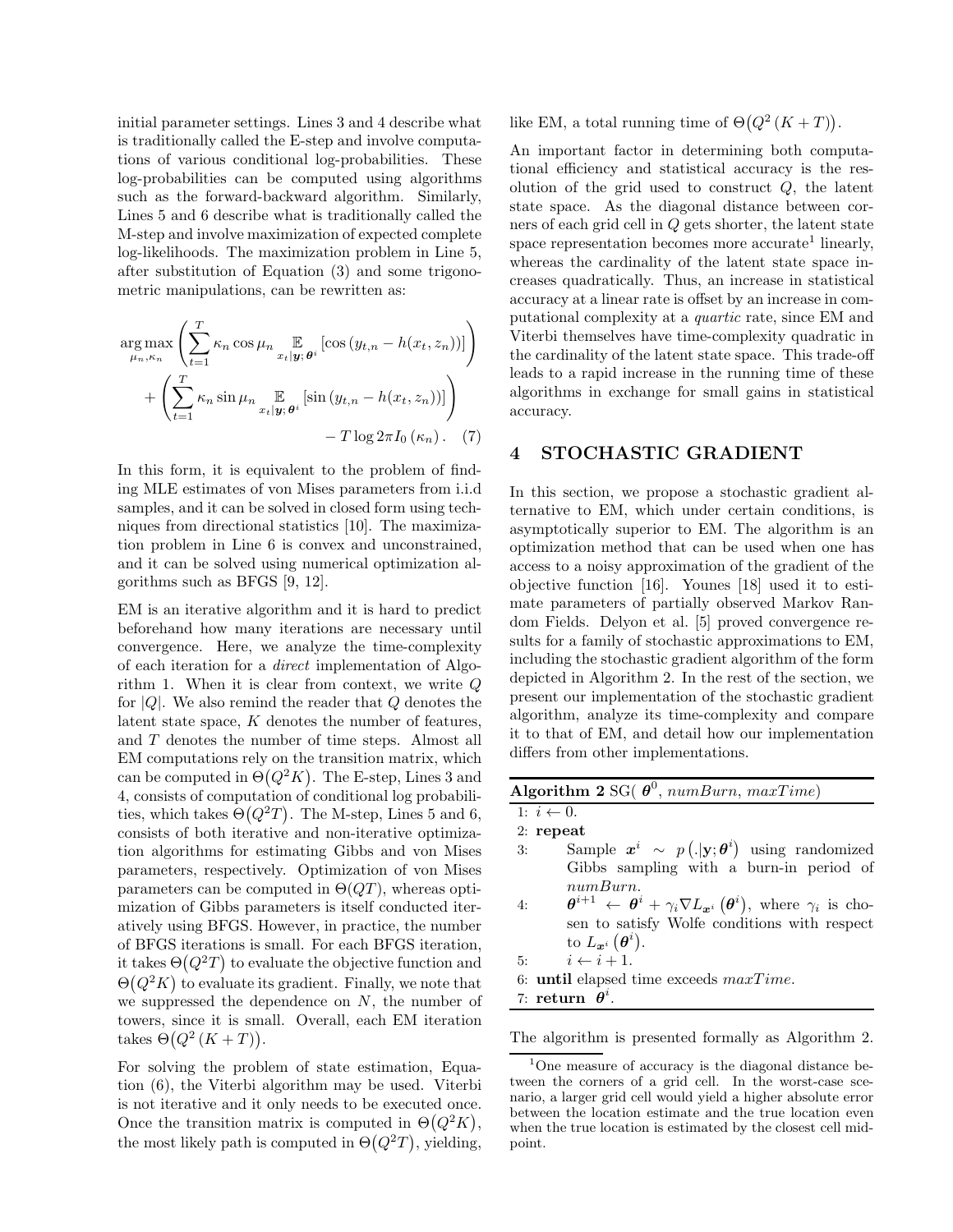initial parameter settings. Lines 3 and 4 describe what is traditionally called the E-step and involve computations of various conditional log-probabilities. These log-probabilities can be computed using algorithms such as the forward-backward algorithm. Similarly, Lines 5 and 6 describe what is traditionally called the M-step and involve maximization of expected complete log-likelihoods. The maximization problem in Line 5, after substitution of Equation (3) and some trigonometric manipulations, can be rewritten as:

$$
\arg\max_{\mu_n, \kappa_n} \left( \sum_{t=1}^T \kappa_n \cos \mu_n \underset{x_t|\mathbf{y}; \theta^i}{\mathbb{E}} \left[ \cos \left( y_{t,n} - h(x_t, z_n) \right) \right] \right) + \left( \sum_{t=1}^T \kappa_n \sin \mu_n \underset{x_t|\mathbf{y}; \theta^i}{\mathbb{E}} \left[ \sin \left( y_{t,n} - h(x_t, z_n) \right) \right] \right) - T \log 2\pi I_0 \left( \kappa_n \right). \tag{7}
$$

In this form, it is equivalent to the problem of finding MLE estimates of von Mises parameters from i.i.d samples, and it can be solved in closed form using techniques from directional statistics [10]. The maximization problem in Line 6 is convex and unconstrained, and it can be solved using numerical optimization algorithms such as BFGS [9, 12].

EM is an iterative algorithm and it is hard to predict beforehand how many iterations are necessary until convergence. Here, we analyze the time-complexity of each iteration for a direct implementation of Algorithm 1. When it is clear from context, we write Q for  $|Q|$ . We also remind the reader that  $Q$  denotes the latent state space,  $K$  denotes the number of features, and T denotes the number of time steps. Almost all EM computations rely on the transition matrix, which can be computed in  $\Theta(Q^2K)$ . The E-step, Lines 3 and 4, consists of computation of conditional log probabilities, which takes  $\Theta(Q^2T)$ . The M-step, Lines 5 and 6, consists of both iterative and non-iterative optimization algorithms for estimating Gibbs and von Mises parameters, respectively. Optimization of von Mises parameters can be computed in  $\Theta(QT)$ , whereas optimization of Gibbs parameters is itself conducted iteratively using BFGS. However, in practice, the number of BFGS iterations is small. For each BFGS iteration, it takes  $\Theta(Q^2T)$  to evaluate the objective function and  $\Theta(Q^2K)$  to evaluate its gradient. Finally, we note that we suppressed the dependence on  $N$ , the number of towers, since it is small. Overall, each EM iteration takes  $\Theta(Q^2(K+T)).$ 

For solving the problem of state estimation, Equation (6), the Viterbi algorithm may be used. Viterbi is not iterative and it only needs to be executed once. Once the transition matrix is computed in  $\Theta(Q^2K)$ , the most likely path is computed in  $\Theta(Q^2T)$ , yielding,

like EM, a total running time of  $\Theta(Q^2(K+T)).$ 

An important factor in determining both computational efficiency and statistical accuracy is the resolution of the grid used to construct  $Q$ , the latent state space. As the diagonal distance between corners of each grid cell in Q gets shorter, the latent state space representation becomes more accurate<sup>1</sup> linearly, whereas the cardinality of the latent state space increases quadratically. Thus, an increase in statistical accuracy at a linear rate is offset by an increase in computational complexity at a quartic rate, since EM and Viterbi themselves have time-complexity quadratic in the cardinality of the latent state space. This trade-off leads to a rapid increase in the running time of these algorithms in exchange for small gains in statistical accuracy.

## 4 STOCHASTIC GRADIENT

In this section, we propose a stochastic gradient alternative to EM, which under certain conditions, is asymptotically superior to EM. The algorithm is an optimization method that can be used when one has access to a noisy approximation of the gradient of the objective function [16]. Younes [18] used it to estimate parameters of partially observed Markov Random Fields. Delyon et al. [5] proved convergence results for a family of stochastic approximations to EM, including the stochastic gradient algorithm of the form depicted in Algorithm 2. In the rest of the section, we present our implementation of the stochastic gradient algorithm, analyze its time-complexity and compare it to that of EM, and detail how our implementation differs from other implementations.

| Algorithm 2 SG( $\theta^0$ , numBurn, maxTime)                                                                                                              |  |
|-------------------------------------------------------------------------------------------------------------------------------------------------------------|--|
| 1: $i \leftarrow 0$ .                                                                                                                                       |  |
| $2:$ repeat                                                                                                                                                 |  |
| Sample $x^i \sim p(. \mathbf{y}; \theta^i)$ using randomized<br>3:                                                                                          |  |
| Gibbs sampling with a burn-in period of                                                                                                                     |  |
| numBurn.                                                                                                                                                    |  |
| $\boldsymbol{\theta}^{i+1} \leftarrow \boldsymbol{\theta}^i + \gamma_i \nabla L_{\boldsymbol{x}^i}(\boldsymbol{\theta}^i)$ , where $\gamma_i$ is cho-<br>4: |  |
| sen to satisfy Wolfe conditions with respect                                                                                                                |  |
| to $L_{\boldsymbol{x}^i}(\boldsymbol{\theta}^i)$ .                                                                                                          |  |
| 5: $i \leftarrow i+1$ .                                                                                                                                     |  |
| 6: until elapsed time exceeds $maxTime$ .                                                                                                                   |  |
| 7: return $\theta^i$ .                                                                                                                                      |  |
|                                                                                                                                                             |  |

The algorithm is presented formally as Algorithm 2.

<sup>&</sup>lt;sup>1</sup>One measure of accuracy is the diagonal distance between the corners of a grid cell. In the worst-case scenario, a larger grid cell would yield a higher absolute error between the location estimate and the true location even when the true location is estimated by the closest cell midpoint.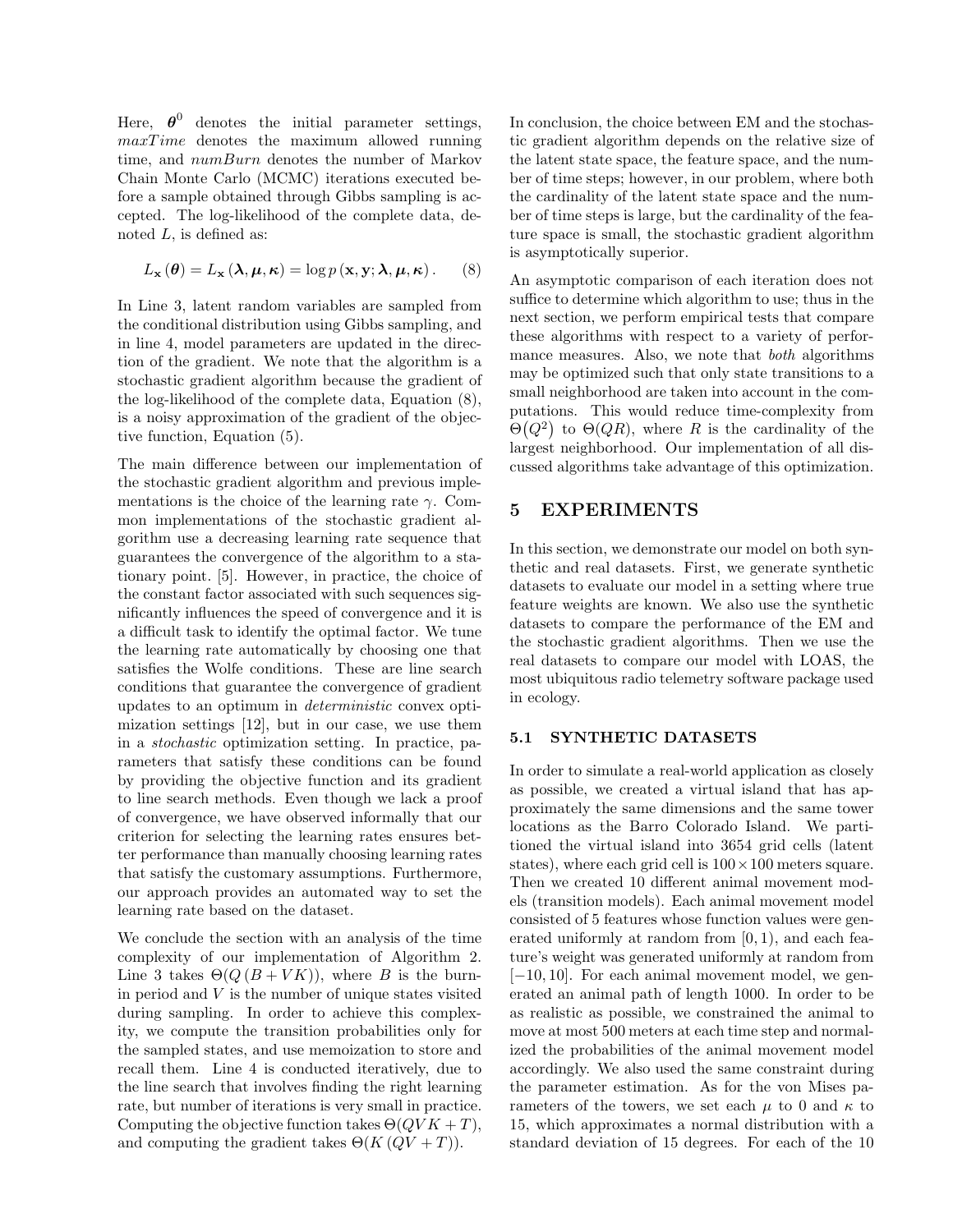Here,  $\boldsymbol{\theta}^0$  denotes the initial parameter settings,  $maxTime$  denotes the maximum allowed running time, and *numBurn* denotes the number of Markov Chain Monte Carlo (MCMC) iterations executed before a sample obtained through Gibbs sampling is accepted. The log-likelihood of the complete data, denoted L, is defined as:

$$
L_{\mathbf{x}}(\boldsymbol{\theta}) = L_{\mathbf{x}}(\boldsymbol{\lambda}, \boldsymbol{\mu}, \boldsymbol{\kappa}) = \log p(\mathbf{x}, \mathbf{y}; \boldsymbol{\lambda}, \boldsymbol{\mu}, \boldsymbol{\kappa}).
$$
 (8)

In Line 3, latent random variables are sampled from the conditional distribution using Gibbs sampling, and in line 4, model parameters are updated in the direction of the gradient. We note that the algorithm is a stochastic gradient algorithm because the gradient of the log-likelihood of the complete data, Equation (8), is a noisy approximation of the gradient of the objective function, Equation (5).

The main difference between our implementation of the stochastic gradient algorithm and previous implementations is the choice of the learning rate  $\gamma$ . Common implementations of the stochastic gradient algorithm use a decreasing learning rate sequence that guarantees the convergence of the algorithm to a stationary point. [5]. However, in practice, the choice of the constant factor associated with such sequences significantly influences the speed of convergence and it is a difficult task to identify the optimal factor. We tune the learning rate automatically by choosing one that satisfies the Wolfe conditions. These are line search conditions that guarantee the convergence of gradient updates to an optimum in deterministic convex optimization settings [12], but in our case, we use them in a stochastic optimization setting. In practice, parameters that satisfy these conditions can be found by providing the objective function and its gradient to line search methods. Even though we lack a proof of convergence, we have observed informally that our criterion for selecting the learning rates ensures better performance than manually choosing learning rates that satisfy the customary assumptions. Furthermore, our approach provides an automated way to set the learning rate based on the dataset.

We conclude the section with an analysis of the time complexity of our implementation of Algorithm 2. Line 3 takes  $\Theta(Q(B+VK))$ , where B is the burnin period and  $V$  is the number of unique states visited during sampling. In order to achieve this complexity, we compute the transition probabilities only for the sampled states, and use memoization to store and recall them. Line 4 is conducted iteratively, due to the line search that involves finding the right learning rate, but number of iterations is very small in practice. Computing the objective function takes  $\Theta(QVK + T)$ , and computing the gradient takes  $\Theta(K(QV + T)).$ 

In conclusion, the choice between EM and the stochastic gradient algorithm depends on the relative size of the latent state space, the feature space, and the number of time steps; however, in our problem, where both the cardinality of the latent state space and the number of time steps is large, but the cardinality of the feature space is small, the stochastic gradient algorithm is asymptotically superior.

An asymptotic comparison of each iteration does not suffice to determine which algorithm to use; thus in the next section, we perform empirical tests that compare these algorithms with respect to a variety of performance measures. Also, we note that *both* algorithms may be optimized such that only state transitions to a small neighborhood are taken into account in the computations. This would reduce time-complexity from  $\Theta(Q^2)$  to  $\Theta(QR)$ , where R is the cardinality of the largest neighborhood. Our implementation of all discussed algorithms take advantage of this optimization.

### 5 EXPERIMENTS

In this section, we demonstrate our model on both synthetic and real datasets. First, we generate synthetic datasets to evaluate our model in a setting where true feature weights are known. We also use the synthetic datasets to compare the performance of the EM and the stochastic gradient algorithms. Then we use the real datasets to compare our model with LOAS, the most ubiquitous radio telemetry software package used in ecology.

#### 5.1 SYNTHETIC DATASETS

In order to simulate a real-world application as closely as possible, we created a virtual island that has approximately the same dimensions and the same tower locations as the Barro Colorado Island. We partitioned the virtual island into 3654 grid cells (latent states), where each grid cell is  $100 \times 100$  meters square. Then we created 10 different animal movement models (transition models). Each animal movement model consisted of 5 features whose function values were generated uniformly at random from  $[0, 1)$ , and each feature's weight was generated uniformly at random from  $[-10, 10]$ . For each animal movement model, we generated an animal path of length 1000. In order to be as realistic as possible, we constrained the animal to move at most 500 meters at each time step and normalized the probabilities of the animal movement model accordingly. We also used the same constraint during the parameter estimation. As for the von Mises parameters of the towers, we set each  $\mu$  to 0 and  $\kappa$  to 15, which approximates a normal distribution with a standard deviation of 15 degrees. For each of the 10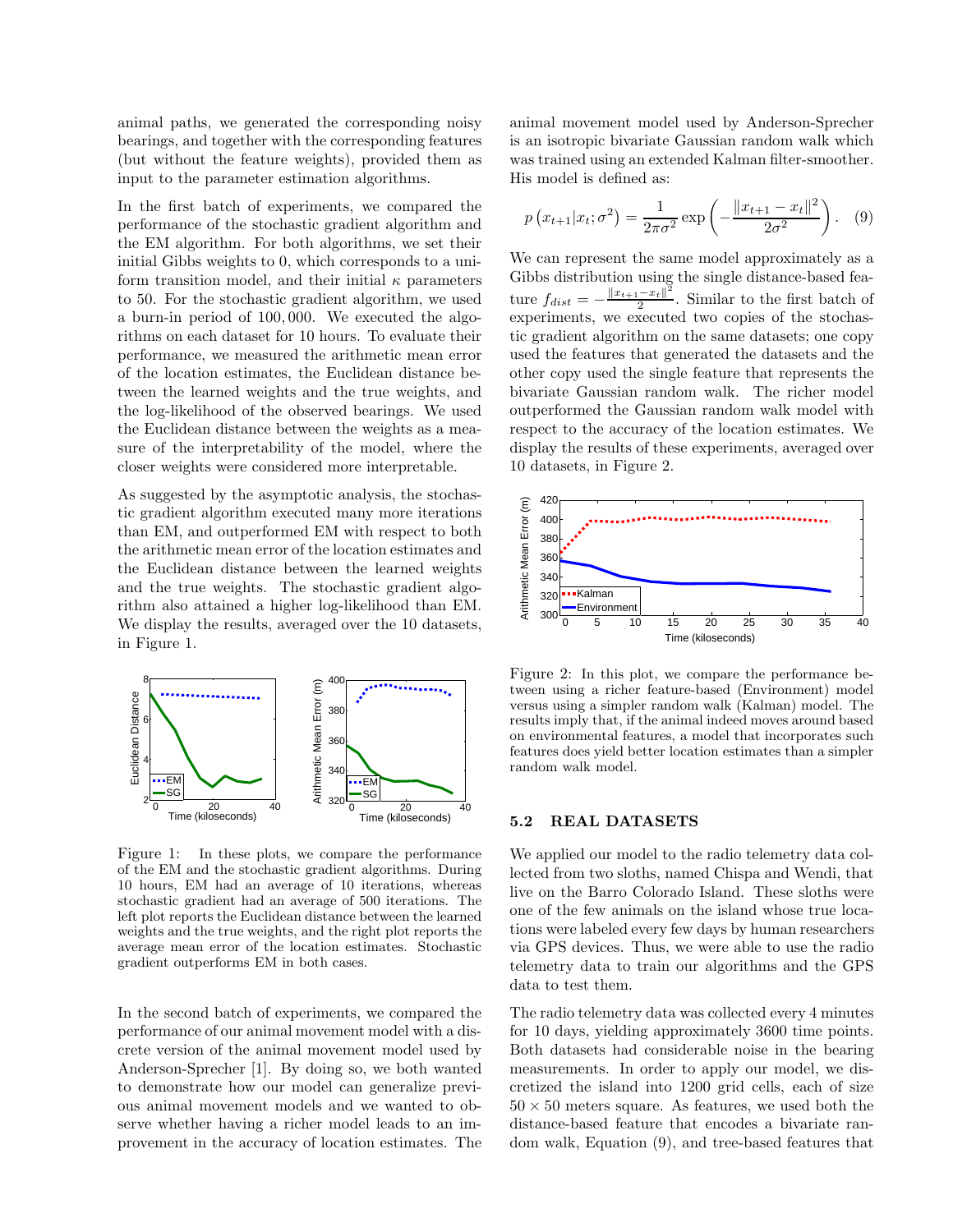animal paths, we generated the corresponding noisy bearings, and together with the corresponding features (but without the feature weights), provided them as input to the parameter estimation algorithms.

In the first batch of experiments, we compared the performance of the stochastic gradient algorithm and the EM algorithm. For both algorithms, we set their initial Gibbs weights to 0, which corresponds to a uniform transition model, and their initial  $\kappa$  parameters to 50. For the stochastic gradient algorithm, we used a burn-in period of 100, 000. We executed the algorithms on each dataset for 10 hours. To evaluate their performance, we measured the arithmetic mean error of the location estimates, the Euclidean distance between the learned weights and the true weights, and the log-likelihood of the observed bearings. We used the Euclidean distance between the weights as a measure of the interpretability of the model, where the closer weights were considered more interpretable.

As suggested by the asymptotic analysis, the stochastic gradient algorithm executed many more iterations than EM, and outperformed EM with respect to both the arithmetic mean error of the location estimates and the Euclidean distance between the learned weights and the true weights. The stochastic gradient algorithm also attained a higher log-likelihood than EM. We display the results, averaged over the 10 datasets, in Figure 1.



Figure 1: In these plots, we compare the performance of the EM and the stochastic gradient algorithms. During 10 hours, EM had an average of 10 iterations, whereas stochastic gradient had an average of 500 iterations. The left plot reports the Euclidean distance between the learned weights and the true weights, and the right plot reports the average mean error of the location estimates. Stochastic gradient outperforms EM in both cases.

In the second batch of experiments, we compared the performance of our animal movement model with a discrete version of the animal movement model used by Anderson-Sprecher [1]. By doing so, we both wanted to demonstrate how our model can generalize previous animal movement models and we wanted to observe whether having a richer model leads to an improvement in the accuracy of location estimates. The animal movement model used by Anderson-Sprecher is an isotropic bivariate Gaussian random walk which was trained using an extended Kalman filter-smoother. His model is defined as:

$$
p(x_{t+1}|x_t; \sigma^2) = \frac{1}{2\pi\sigma^2} \exp\left(-\frac{\|x_{t+1} - x_t\|^2}{2\sigma^2}\right).
$$
 (9)

We can represent the same model approximately as a Gibbs distribution using the single distance-based feature  $f_{dist} = -\frac{\|x_{t+1} - x_t\|^2}{2}$  $\frac{z-x_t}{2}$ . Similar to the first batch of experiments, we executed two copies of the stochastic gradient algorithm on the same datasets; one copy used the features that generated the datasets and the other copy used the single feature that represents the bivariate Gaussian random walk. The richer model outperformed the Gaussian random walk model with respect to the accuracy of the location estimates. We display the results of these experiments, averaged over 10 datasets, in Figure 2.



Figure 2: In this plot, we compare the performance between using a richer feature-based (Environment) model versus using a simpler random walk (Kalman) model. The results imply that, if the animal indeed moves around based on environmental features, a model that incorporates such features does yield better location estimates than a simpler random walk model.

#### 5.2 REAL DATASETS

We applied our model to the radio telemetry data collected from two sloths, named Chispa and Wendi, that live on the Barro Colorado Island. These sloths were one of the few animals on the island whose true locations were labeled every few days by human researchers via GPS devices. Thus, we were able to use the radio telemetry data to train our algorithms and the GPS data to test them.

The radio telemetry data was collected every 4 minutes for 10 days, yielding approximately 3600 time points. Both datasets had considerable noise in the bearing measurements. In order to apply our model, we discretized the island into 1200 grid cells, each of size  $50 \times 50$  meters square. As features, we used both the distance-based feature that encodes a bivariate random walk, Equation (9), and tree-based features that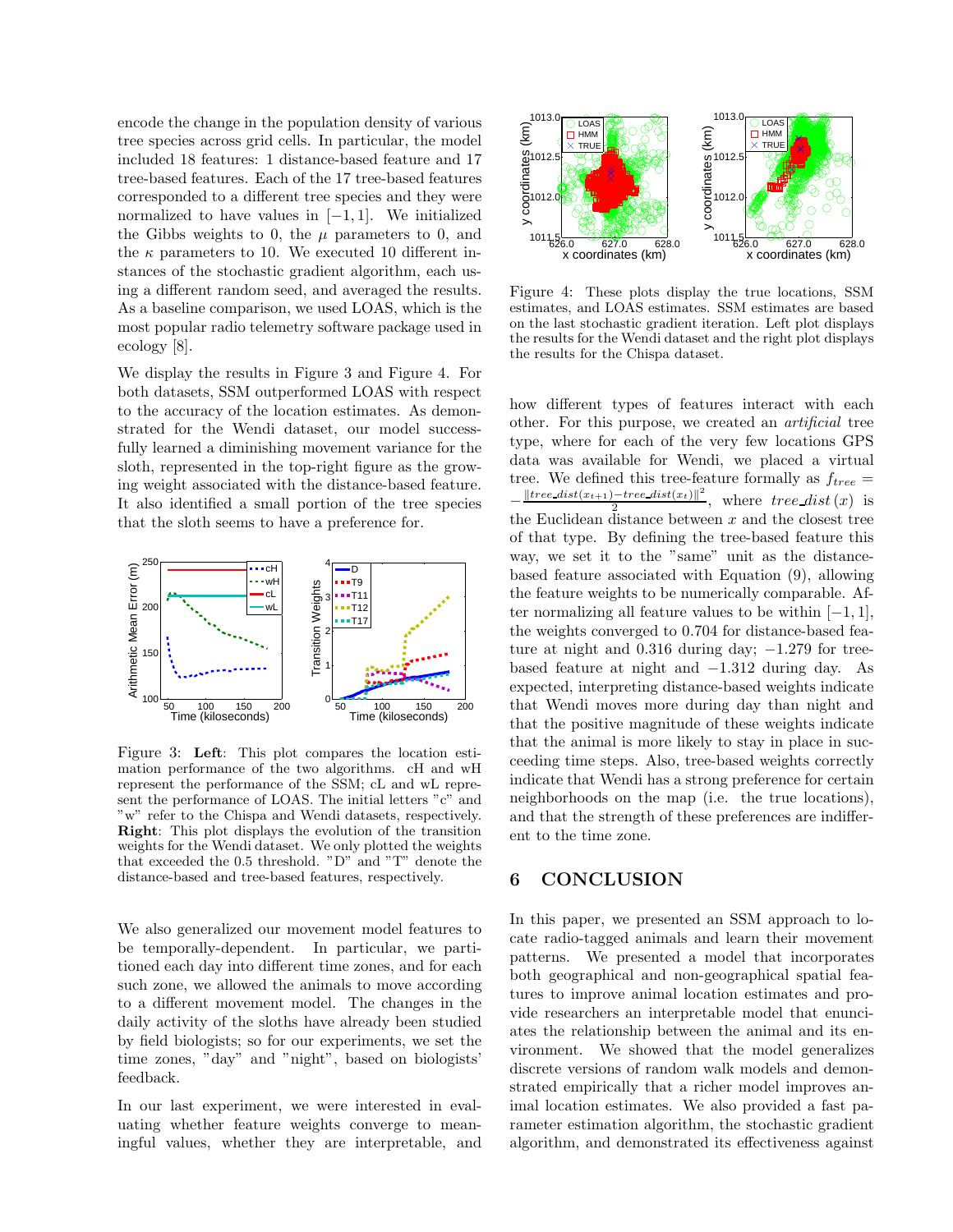encode the change in the population density of various tree species across grid cells. In particular, the model included 18 features: 1 distance-based feature and 17 tree-based features. Each of the 17 tree-based features corresponded to a different tree species and they were normalized to have values in  $[-1, 1]$ . We initialized the Gibbs weights to 0, the  $\mu$  parameters to 0, and the  $\kappa$  parameters to 10. We executed 10 different instances of the stochastic gradient algorithm, each using a different random seed, and averaged the results. As a baseline comparison, we used LOAS, which is the most popular radio telemetry software package used in ecology [8].

We display the results in Figure 3 and Figure 4. For both datasets, SSM outperformed LOAS with respect to the accuracy of the location estimates. As demonstrated for the Wendi dataset, our model successfully learned a diminishing movement variance for the sloth, represented in the top-right figure as the growing weight associated with the distance-based feature. It also identified a small portion of the tree species that the sloth seems to have a preference for.



Figure 3: Left: This plot compares the location estimation performance of the two algorithms. cH and wH represent the performance of the SSM; cL and wL represent the performance of LOAS. The initial letters "c" and "w" refer to the Chispa and Wendi datasets, respectively. Right: This plot displays the evolution of the transition weights for the Wendi dataset. We only plotted the weights that exceeded the 0.5 threshold. "D" and "T" denote the distance-based and tree-based features, respectively.

We also generalized our movement model features to be temporally-dependent. In particular, we partitioned each day into different time zones, and for each such zone, we allowed the animals to move according to a different movement model. The changes in the daily activity of the sloths have already been studied by field biologists; so for our experiments, we set the time zones, "day" and "night", based on biologists' feedback.

In our last experiment, we were interested in evaluating whether feature weights converge to meaningful values, whether they are interpretable, and



Figure 4: These plots display the true locations, SSM estimates, and LOAS estimates. SSM estimates are based on the last stochastic gradient iteration. Left plot displays the results for the Wendi dataset and the right plot displays the results for the Chispa dataset.

how different types of features interact with each other. For this purpose, we created an artificial tree type, where for each of the very few locations GPS data was available for Wendi, we placed a virtual tree. We defined this tree-feature formally as  $f_{tree}$  =  $-\frac{\|tree\_dist(x_{t+1})-tree\_dist(x_t)\|^2}{2}$  $\frac{z}{2}$  is  $\frac{z}{2}$ , where  $tree\_dist(x)$  is the Euclidean distance between  $x$  and the closest tree of that type. By defining the tree-based feature this way, we set it to the "same" unit as the distancebased feature associated with Equation (9), allowing the feature weights to be numerically comparable. After normalizing all feature values to be within  $[-1, 1]$ , the weights converged to 0.704 for distance-based feature at night and 0.316 during day;  $-1.279$  for treebased feature at night and −1.312 during day. As expected, interpreting distance-based weights indicate that Wendi moves more during day than night and that the positive magnitude of these weights indicate that the animal is more likely to stay in place in succeeding time steps. Also, tree-based weights correctly indicate that Wendi has a strong preference for certain neighborhoods on the map (i.e. the true locations), and that the strength of these preferences are indifferent to the time zone.

# 6 CONCLUSION

In this paper, we presented an SSM approach to locate radio-tagged animals and learn their movement patterns. We presented a model that incorporates both geographical and non-geographical spatial features to improve animal location estimates and provide researchers an interpretable model that enunciates the relationship between the animal and its environment. We showed that the model generalizes discrete versions of random walk models and demonstrated empirically that a richer model improves animal location estimates. We also provided a fast parameter estimation algorithm, the stochastic gradient algorithm, and demonstrated its effectiveness against